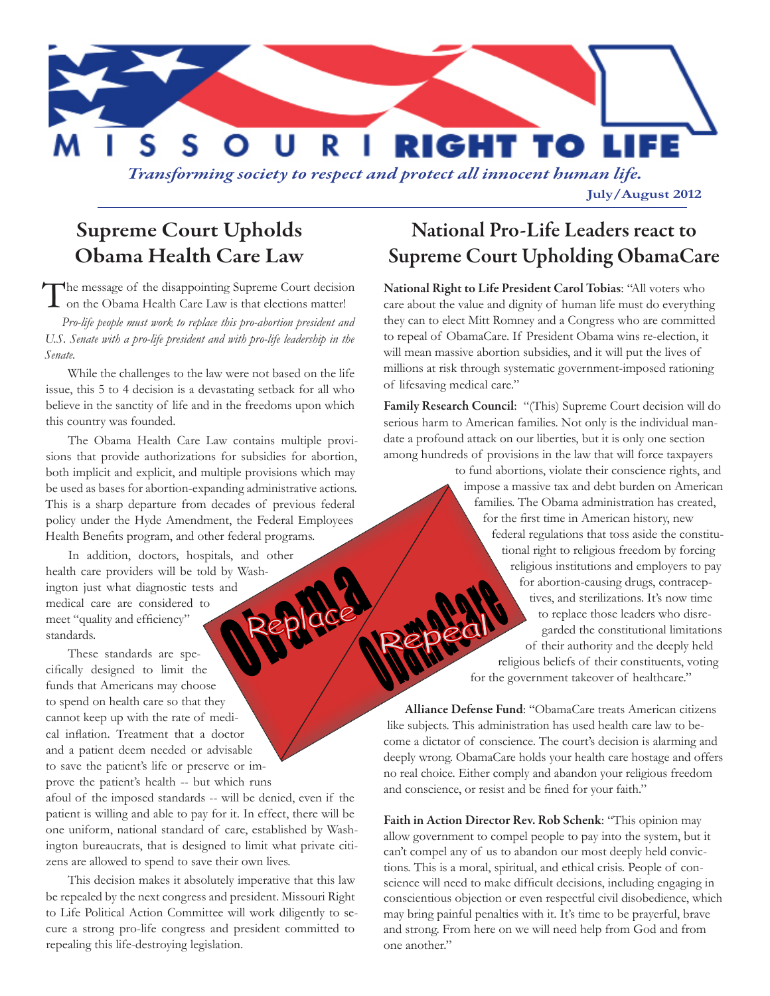

*Transforming society to respect and protect all innocent human life.*

**July/August 2012**

## Supreme Court Upholds Obama Health Care Law

The message of the disappointing Supreme Court decision on the Obama Health Care Law is that elections matter!

*Pro-life people must work to replace this pro-abortion president and U.S. Senate with a pro-life president and with pro-life leadership in the Senate.* 

While the challenges to the law were not based on the life issue, this 5 to 4 decision is a devastating setback for all who believe in the sanctity of life and in the freedoms upon which this country was founded.

The Obama Health Care Law contains multiple provisions that provide authorizations for subsidies for abortion, both implicit and explicit, and multiple provisions which may be used as bases for abortion-expanding administrative actions. This is a sharp departure from decades of previous federal policy under the Hyde Amendment, the Federal Employees Health Benefits program, and other federal programs.

In addition, doctors, hospitals, and other health care providers will be told by Washington just what diagnostic tests and medical care are considered to meet "quality and efficiency" standards.

These standards are specifically designed to limit the funds that Americans may choose to spend on health care so that they cannot keep up with the rate of medical inflation. Treatment that a doctor and a patient deem needed or advisable to save the patient's life or preserve or improve the patient's health -- but which runs

afoul of the imposed standards -- will be denied, even if the patient is willing and able to pay for it. In effect, there will be one uniform, national standard of care, established by Washington bureaucrats, that is designed to limit what private citizens are allowed to spend to save their own lives.

This decision makes it absolutely imperative that this law be repealed by the next congress and president. Missouri Right to Life Political Action Committee will work diligently to secure a strong pro-life congress and president committed to repealing this life-destroying legislation.

## National Pro-Life Leaders react to Supreme Court Upholding ObamaCare

National Right to Life President Carol Tobias: "All voters who care about the value and dignity of human life must do everything they can to elect Mitt Romney and a Congress who are committed to repeal of ObamaCare. If President Obama wins re-election, it will mean massive abortion subsidies, and it will put the lives of millions at risk through systematic government-imposed rationing of lifesaving medical care."

Family Research Council: "(This) Supreme Court decision will do serious harm to American families. Not only is the individual mandate a profound attack on our liberties, but it is only one section among hundreds of provisions in the law that will force taxpayers

> to fund abortions, violate their conscience rights, and impose a massive tax and debt burden on American families. The Obama administration has created, for the first time in American history, new federal regulations that toss aside the constitutional right to religious freedom by forcing religious institutions and employers to pay for abortion-causing drugs, contraceptives, and sterilizations. It's now time to replace those leaders who disregarded the constitutional limitations of their authority and the deeply held religious beliefs of their constituents, voting for the government takeover of healthcare."

Alliance Defense Fund: "ObamaCare treats American citizens like subjects. This administration has used health care law to become a dictator of conscience. The court's decision is alarming and deeply wrong. ObamaCare holds your health care hostage and offers no real choice. Either comply and abandon your religious freedom and conscience, or resist and be fined for your faith."

Faith in Action Director Rev. Rob Schenk: "This opinion may allow government to compel people to pay into the system, but it can't compel any of us to abandon our most deeply held convictions. This is a moral, spiritual, and ethical crisis. People of conscience will need to make difficult decisions, including engaging in conscientious objection or even respectful civil disobedience, which may bring painful penalties with it. It's time to be prayerful, brave and strong. From here on we will need help from God and from one another."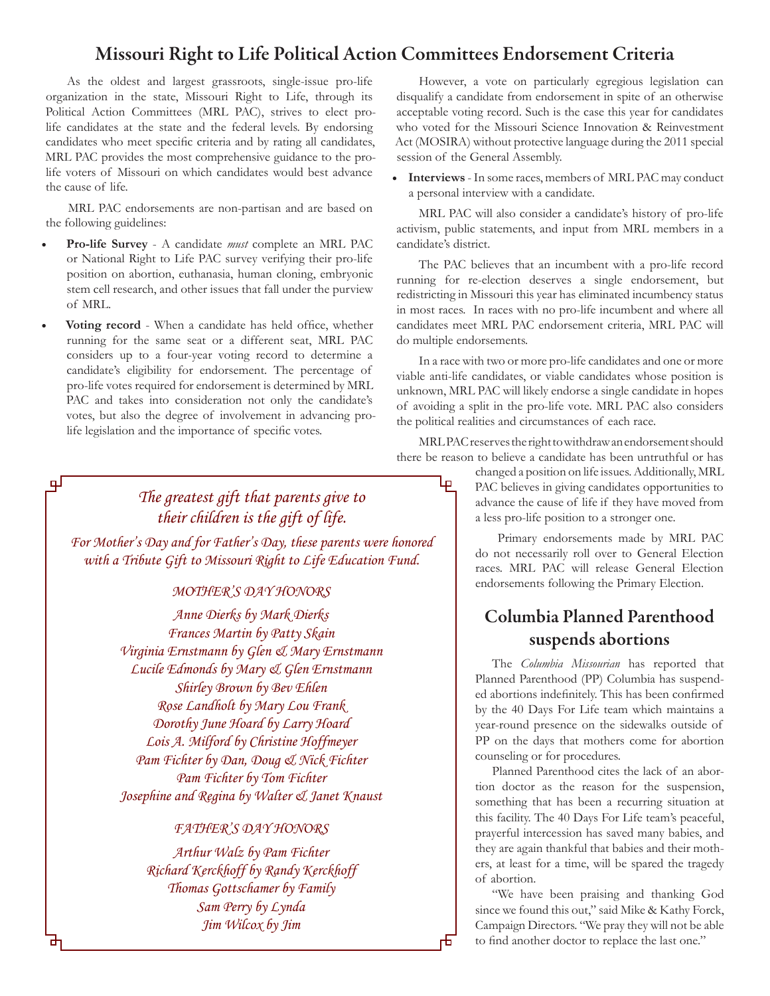#### Missouri Right to Life Political Action Committees Endorsement Criteria

As the oldest and largest grassroots, single-issue pro-life organization in the state, Missouri Right to Life, through its Political Action Committees (MRL PAC), strives to elect prolife candidates at the state and the federal levels. By endorsing candidates who meet specific criteria and by rating all candidates, MRL PAC provides the most comprehensive guidance to the prolife voters of Missouri on which candidates would best advance the cause of life.

MRL PAC endorsements are non-partisan and are based on the following guidelines:

- **Pro-life Survey** A candidate *must* complete an MRL PAC or National Right to Life PAC survey verifying their pro-life position on abortion, euthanasia, human cloning, embryonic stem cell research, and other issues that fall under the purview of MRL.
- Voting record When a candidate has held office, whether running for the same seat or a different seat, MRL PAC considers up to a four-year voting record to determine a candidate's eligibility for endorsement. The percentage of pro-life votes required for endorsement is determined by MRL PAC and takes into consideration not only the candidate's votes, but also the degree of involvement in advancing prolife legislation and the importance of specific votes.

பு

However, a vote on particularly egregious legislation can disqualify a candidate from endorsement in spite of an otherwise acceptable voting record. Such is the case this year for candidates who voted for the Missouri Science Innovation & Reinvestment Act (MOSIRA) without protective language during the 2011 special session of the General Assembly.

**• Interviews** - In some races, members of MRL PAC may conduct a personal interview with a candidate.

MRL PAC will also consider a candidate's history of pro-life activism, public statements, and input from MRL members in a candidate's district.

The PAC believes that an incumbent with a pro-life record running for re-election deserves a single endorsement, but redistricting in Missouri this year has eliminated incumbency status in most races. In races with no pro-life incumbent and where all candidates meet MRL PAC endorsement criteria, MRL PAC will do multiple endorsements.

In a race with two or more pro-life candidates and one or more viable anti-life candidates, or viable candidates whose position is unknown, MRL PAC will likely endorse a single candidate in hopes of avoiding a split in the pro-life vote. MRL PAC also considers the political realities and circumstances of each race.

MRL PAC reserves the right to withdraw an endorsement should there be reason to believe a candidate has been untruthful or has

Ļρ

市

## *The greatest gift that parents give to their children is the gift of life.*

*For Mother's Day and for Father's Day, these parents were honored with a Tribute Gift to Missouri Right to Life Education Fund.*

#### *MOTHER'S DAY HONORS*

*Anne Dierks by Mark Dierks Frances Martin by Patty Skain Virginia Ernstmann by Glen & Mary Ernstmann Lucile Edmonds by Mary & Glen Ernstmann Shirley Brown by Bev Ehlen Rose Landholt by Mary Lou Frank Dorothy June Hoard by Larry Hoard Lois A. Milford by Christine Hoffmeyer Pam Fichter by Dan, Doug & Nick Fichter Pam Fichter by Tom Fichter Josephine and Regina by Walter & Janet Knaust*

#### *Father's Day Honors*

*Arthur Walz by Pam Fichter Richard Kerckhoff by Randy Kerckhoff Thomas Gottschamer by Family Sam Perry by Lynda Jim Wilcox by Jim*

changed a position on life issues. Additionally, MRL PAC believes in giving candidates opportunities to advance the cause of life if they have moved from a less pro-life position to a stronger one.

Primary endorsements made by MRL PAC do not necessarily roll over to General Election races. MRL PAC will release General Election endorsements following the Primary Election.

## Columbia Planned Parenthood suspends abortions

The *Columbia Missourian* has reported that Planned Parenthood (PP) Columbia has suspended abortions indefinitely. This has been confirmed by the 40 Days For Life team which maintains a year-round presence on the sidewalks outside of PP on the days that mothers come for abortion counseling or for procedures.

Planned Parenthood cites the lack of an abortion doctor as the reason for the suspension, something that has been a recurring situation at this facility. The 40 Days For Life team's peaceful, prayerful intercession has saved many babies, and they are again thankful that babies and their mothers, at least for a time, will be spared the tragedy of abortion.

"We have been praising and thanking God since we found this out," said Mike & Kathy Forck, Campaign Directors. "We pray they will not be able to find another doctor to replace the last one."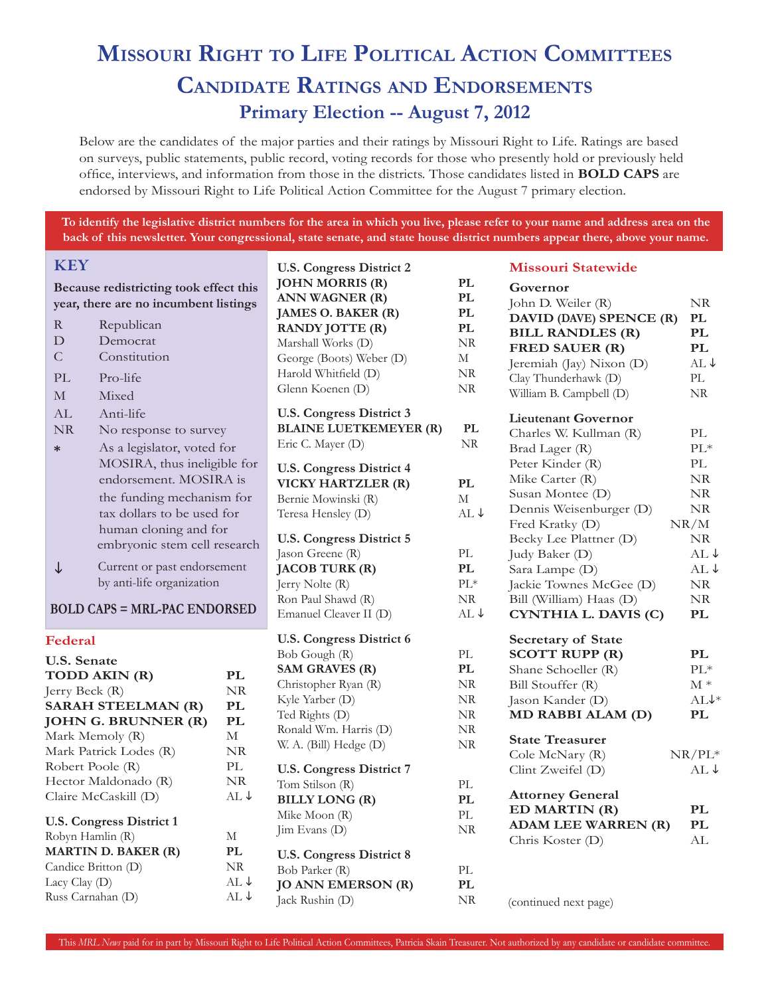# **Missouri Right to Life Political Action Committees Candidate Ratings and Endorsements Primary Election -- August 7, 2012**

Below are the candidates of the major parties and their ratings by Missouri Right to Life. Ratings are based on surveys, public statements, public record, voting records for those who presently hold or previously held office, interviews, and information from those in the districts. Those candidates listed in **BOLD CAPS** are endorsed by Missouri Right to Life Political Action Committee for the August 7 primary election.

**To identify the legislative district numbers for the area in which you live, please refer to your name and address area on the back of this newsletter. Your congressional, state senate, and state house district numbers appear there, above your name.**

| <b>KEY</b>                                                                                                                  |                                 | <b>U.S. Congress District 2</b>                                                                                |                                                                   | <b>Missouri Statewide</b>                                                            |                              |
|-----------------------------------------------------------------------------------------------------------------------------|---------------------------------|----------------------------------------------------------------------------------------------------------------|-------------------------------------------------------------------|--------------------------------------------------------------------------------------|------------------------------|
| Because redistricting took effect this<br>year, there are no incumbent listings<br>R<br>Republican<br>${\rm D}$<br>Democrat |                                 | <b>JOHN MORRIS (R)</b><br>ANN WAGNER (R)<br>JAMES O. BAKER (R)<br><b>RANDY JOTTE (R)</b><br>Marshall Works (D) | $\mathbf{PL}$<br>$\mathbf{PL}$<br>PL<br>$\mathbf{PL}$<br>$\rm NR$ | Governor<br>John D. Weiler (R)<br>DAVID (DAVE) SPENCE (R)<br><b>BILL RANDLES (R)</b> | NR<br>PL<br><b>PL</b>        |
| $\mathsf C$<br>Constitution                                                                                                 |                                 | George (Boots) Weber (D)                                                                                       | $\mathbf M$                                                       | <b>FRED SAUER (R)</b>                                                                | <b>PL</b><br>$AL \downarrow$ |
| PL<br>Pro-life                                                                                                              |                                 | Harold Whitfield (D)                                                                                           | $\rm NR$                                                          | Jeremiah (Jay) Nixon (D)<br>Clay Thunderhawk (D)                                     | PL                           |
| $\mathbf M$<br>Mixed                                                                                                        |                                 | Glenn Koenen (D)                                                                                               | $\rm NR$                                                          | William B. Campbell (D)                                                              | $\rm NR$                     |
| AL<br>Anti-life                                                                                                             |                                 | <b>U.S. Congress District 3</b>                                                                                |                                                                   |                                                                                      |                              |
| $\rm NR$<br>No response to survey                                                                                           |                                 | <b>BLAINE LUETKEMEYER (R)</b>                                                                                  | $\mathbf{PL}$                                                     | <b>Lieutenant Governor</b>                                                           |                              |
| As a legislator, voted for<br>$\ast$                                                                                        |                                 | Eric C. Mayer (D)                                                                                              | NR.                                                               | Charles W. Kullman (R)<br>Brad Lager (R)                                             | PL<br>$\text{PL}{}^*$        |
| MOSIRA, thus ineligible for                                                                                                 |                                 |                                                                                                                |                                                                   | Peter Kinder (R)                                                                     | PL                           |
| endorsement. MOSIRA is                                                                                                      |                                 | <b>U.S. Congress District 4</b><br>VICKY HARTZLER (R)                                                          | $\mathbf{PL}$                                                     | Mike Carter (R)                                                                      | $\rm NR$                     |
| the funding mechanism for                                                                                                   |                                 | Bernie Mowinski (R)                                                                                            | М                                                                 | Susan Montee (D)                                                                     | $\rm NR$                     |
| tax dollars to be used for                                                                                                  |                                 | Teresa Hensley (D)                                                                                             | AL ↓                                                              | Dennis Weisenburger (D)                                                              | $\rm NR$                     |
| human cloning and for                                                                                                       |                                 |                                                                                                                |                                                                   | Fred Kratky (D)                                                                      | NR/M                         |
| embryonic stem cell research                                                                                                |                                 | <b>U.S. Congress District 5</b>                                                                                |                                                                   | Becky Lee Plattner (D)                                                               | NR                           |
|                                                                                                                             |                                 | Jason Greene (R)                                                                                               | $\ensuremath{\text{PL}}\xspace$                                   | Judy Baker (D)                                                                       | $AL \downarrow$              |
| Current or past endorsement<br>↓                                                                                            |                                 | <b>JACOB TURK (R)</b>                                                                                          | $\mathbf{PL}$                                                     | Sara Lampe (D)                                                                       | $AL \downarrow$              |
| by anti-life organization                                                                                                   |                                 | Jerry Nolte (R)                                                                                                | $\text{PL}{}^*$                                                   | Jackie Townes McGee (D)                                                              | $\rm NR$                     |
| <b>BOLD CAPS = MRL-PAC ENDORSED</b>                                                                                         |                                 | Ron Paul Shawd (R)<br>Emanuel Cleaver II (D)                                                                   | $\rm NR$<br>AL ↓                                                  | Bill (William) Haas (D)<br>CYNTHIA L. DAVIS (C)                                      | $\rm NR$<br><b>PL</b>        |
|                                                                                                                             |                                 |                                                                                                                |                                                                   |                                                                                      |                              |
| Federal                                                                                                                     |                                 | <b>U.S. Congress District 6</b>                                                                                |                                                                   | <b>Secretary of State</b>                                                            |                              |
| <b>U.S. Senate</b>                                                                                                          |                                 | Bob Gough (R)                                                                                                  | $\ensuremath{\text{PL}}$                                          | <b>SCOTT RUPP (R)</b>                                                                | PL                           |
| TODD AKIN (R)                                                                                                               | PL                              | <b>SAM GRAVES (R)</b>                                                                                          | $\mathbf{PL}$                                                     | Shane Schoeller (R)                                                                  | $\text{PL}{}^*$              |
| Jerry Beck (R)                                                                                                              | NR                              | Christopher Ryan (R)                                                                                           | $\rm NR$                                                          | Bill Stouffer (R)                                                                    | $\mathbf{M}$ *               |
| <b>SARAH STEELMAN (R)</b>                                                                                                   | PL                              | Kyle Yarber (D)                                                                                                | NR                                                                | Jason Kander (D)                                                                     | $ALV*$                       |
| <b>JOHN G. BRUNNER (R)</b>                                                                                                  | PL                              | Ted Rights (D)                                                                                                 | $\rm NR$                                                          | MD RABBI ALAM (D)                                                                    | PL                           |
| Mark Memoly (R)                                                                                                             | $\mathbf M$                     | Ronald Wm. Harris (D)                                                                                          | NR<br>$\rm NR$                                                    | <b>State Treasurer</b>                                                               |                              |
| Mark Patrick Lodes (R)                                                                                                      | $\rm NR$                        | W. A. (Bill) Hedge (D)                                                                                         |                                                                   | Cole McNary (R)                                                                      | $NR/PL^*$                    |
| Robert Poole (R)                                                                                                            | $\ensuremath{\text{PL}}\xspace$ | <b>U.S. Congress District 7</b>                                                                                |                                                                   | Clint Zweifel (D)                                                                    | $AL \downarrow$              |
| Hector Maldonado (R)                                                                                                        | $\rm NR$                        | Tom Stilson (R)                                                                                                | $\ensuremath{\text{PL}}$                                          |                                                                                      |                              |
| Claire McCaskill (D)                                                                                                        | $AL \downarrow$                 | <b>BILLY LONG (R)</b>                                                                                          | PL                                                                | <b>Attorney General</b>                                                              |                              |
| <b>U.S. Congress District 1</b>                                                                                             |                                 | Mike Moon (R)                                                                                                  | $\ensuremath{\text{PL}}$                                          | ED MARTIN (R)                                                                        | PL<br>PL                     |
| Robyn Hamlin (R)                                                                                                            | $\mathbf M$                     | Jim Evans (D)                                                                                                  | NR                                                                | <b>ADAM LEE WARREN (R)</b><br>Chris Koster (D)                                       | AL                           |
| PL<br><b>MARTIN D. BAKER (R)</b>                                                                                            |                                 | <b>U.S. Congress District 8</b>                                                                                |                                                                   |                                                                                      |                              |
| Candice Britton (D)                                                                                                         | $\rm NR$                        | Bob Parker (R)                                                                                                 | $\ensuremath{\text{PL}}\xspace$                                   |                                                                                      |                              |
| Lacy Clay (D)                                                                                                               | $AL \downarrow$                 | <b>JO ANN EMERSON (R)</b>                                                                                      | $\mathbf{PL}$                                                     |                                                                                      |                              |
| Russ Carnahan (D)                                                                                                           | $AL \downarrow$                 | Jack Rushin (D)                                                                                                | $\rm NR$                                                          | (continued next page)                                                                |                              |
|                                                                                                                             |                                 |                                                                                                                |                                                                   |                                                                                      |                              |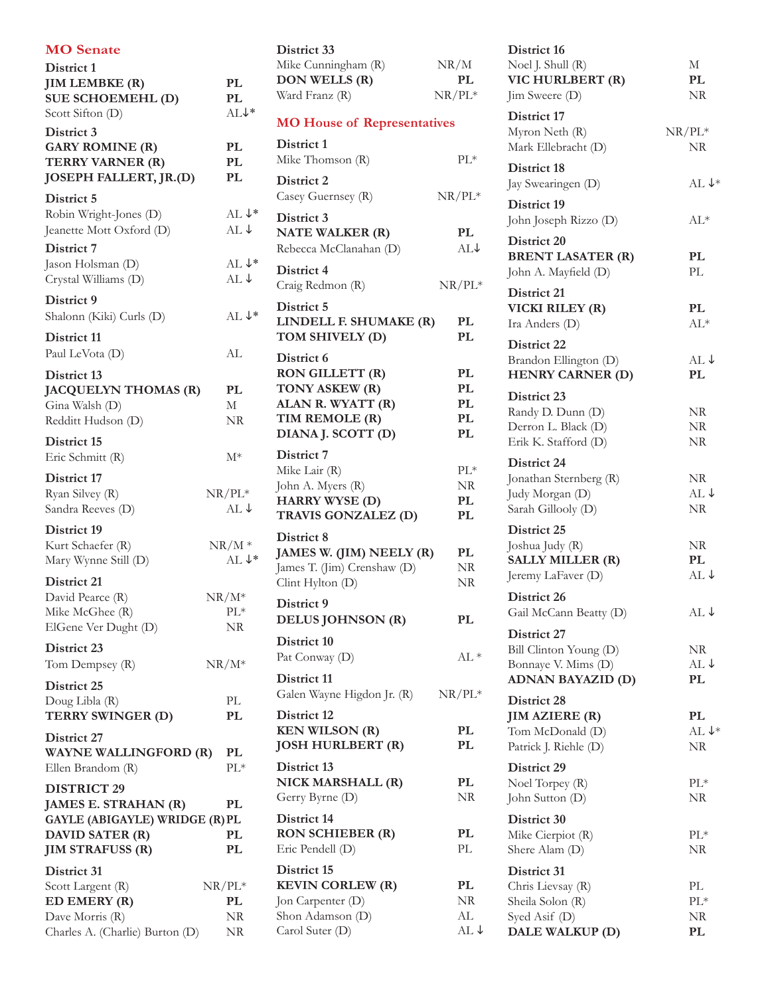| <b>MO</b> Senate                                                                                                                  |                                      |
|-----------------------------------------------------------------------------------------------------------------------------------|--------------------------------------|
| District 1<br><b>JIM LEMBKE (R)</b><br><b>SUE SCHOEMEHL (D)</b><br>Scott Sifton (D)                                               | PL<br>PL<br>AL <sup>*</sup>          |
| District 3<br><b>GARY ROMINE (R)</b><br>TERRY VARNER (R)<br>JOSEPH FALLERT, JR.(D)                                                | PL<br>PL<br>PL                       |
| District 5<br>Robin Wright-Jones (D)<br>Jeanette Mott Oxford (D)                                                                  | $AL \downarrow^*$<br>$AL \downarrow$ |
| District 7<br>Jason Holsman (D)<br>Crystal Williams (D)                                                                           | AL↓*<br>$AL \downarrow$              |
| District 9<br>Shalonn (Kiki) Curls (D)                                                                                            | $AI.\downarrow*$                     |
| District 11<br>Paul LeVota (D)                                                                                                    | AL                                   |
| District 13<br><b>JACQUELYN THOMAS (R)</b><br>Gina Walsh (D)<br>Redditt Hudson (D)                                                | PL<br>М<br>NR                        |
| District 15<br>Eric Schmitt (R)                                                                                                   | М*                                   |
| District 17<br>Ryan Silvey (R)<br>Sandra Reeves (D)                                                                               | $NR/PL^*$<br>$AL \downarrow$         |
| District 19<br>Kurt Schaefer (R)<br>Mary Wynne Still (D)                                                                          | $NR/M*$<br>$AL \downarrow^*$         |
| District 21<br>David Pearce (R)<br>Mike McGhee (R)<br>ElGene Ver Dught (D)                                                        | $\rm NR/M^*$<br>PL*<br>NR            |
| District 23<br>Tom Dempsey (R)                                                                                                    | ${\rm NR}/ {\rm M}^*$                |
| District 25<br>Doug Libla (R)<br>TERRY SWINGER (D)                                                                                | РL<br>PL                             |
| District 27<br><b>WAYNE WALLINGFORD (R)</b><br>Ellen Brandom (R)                                                                  | PL<br>$\rm PL^*$                     |
| <b>DISTRICT 29</b><br>JAMES E. STRAHAN (R)<br><b>GAYLE (ABIGAYLE) WRIDGE (R) PL</b><br>DAVID SATER (R)<br><b>JIM STRAFUSS (R)</b> | PL<br>PL<br>PL                       |
| District 31<br>Scott Largent (R)<br>ED EMERY (R)<br>Dave Morris (R)                                                               | $NR/PL^*$<br>PL<br>NR                |
| Charles A. (Charlie) Burton (D)                                                                                                   | NR                                   |

| District 33                                             |                 |
|---------------------------------------------------------|-----------------|
| Mike Cunningham (R)                                     | NR/M            |
| <b>DON WELLS (R)</b>                                    | PL              |
| Ward Franz (R)                                          | $NR/PL^*$       |
| <b>MO House of Representatives</b>                      |                 |
| District 1<br>Mike Thomson (R)                          | $PL*$           |
|                                                         |                 |
| District 2<br>Casey Guernsey (R)                        | $NR/PL^*$       |
| District 3                                              |                 |
| <b>NATE WALKER (R)</b>                                  | PL              |
| Rebecca McClanahan (D)                                  | AL↓             |
| District 4                                              |                 |
| Craig Redmon (R)                                        | $NR/PL^*$       |
| District 5<br>LINDELL F. SHUMAKE (R)<br>TOM SHIVELY (D) | PL<br>PL        |
| District 6                                              |                 |
| RON GILLETT (R)                                         | PL              |
| TONY ASKEW (R)                                          | PL              |
| ALAN R. WYATT (R)                                       | <b>PL</b>       |
| TIM REMOLE (R)                                          | PL              |
| DIANA J. SCOTT (D)                                      | PL              |
| District 7                                              |                 |
| Mike Lair (R)                                           | $PL*$           |
| John A. Myers (R)                                       | NR              |
| <b>HARRY WYSE (D)</b><br>TRAVIS GONZALEZ (D)            | PL<br>PL        |
|                                                         |                 |
| District 8<br>JAMES W. (JIM) NEELY (R)                  | PL              |
| James T. (Jim) Crenshaw (D)                             | NR              |
| Clint Hylton (D)                                        | NR              |
| District 9                                              |                 |
| DELUS JOHNSON (R)                                       | PL              |
| District 10                                             |                 |
| Pat Conway (D)                                          | AL *            |
| District 11                                             |                 |
| Galen Wayne Higdon Jr. (R)                              | $NR/PL^*$       |
| District 12                                             |                 |
| <b>KEN WILSON (R)</b>                                   | PL              |
| <b>JOSH HURLBERT (R)</b>                                | PL              |
| District 13                                             |                 |
| NICK MARSHALL (R)<br>Gerry Byrne (D)                    | PL<br>NR        |
|                                                         |                 |
| District 14<br><b>RON SCHIEBER (R)</b>                  | PL              |
| Eric Pendell (D)                                        | PL              |
| District 15                                             |                 |
| <b>KEVIN CORLEW (R)</b>                                 | PL              |
| Jon Carpenter (D)                                       | NR              |
| Shon Adamson (D)                                        | AL              |
| Carol Suter (D)                                         | $AL \downarrow$ |

| District 16<br>Noel J. Shull (R)<br>VIC HURLBERT (R)<br>Jim Sweere (D)                   | М<br>PL<br>NR                 |
|------------------------------------------------------------------------------------------|-------------------------------|
| District 17<br>Myron Neth (R)<br>Mark Ellebracht (D)                                     | $NR/PL^*$<br>NR               |
| District 18<br>Jay Swearingen (D)                                                        | $AL \downarrow^*$             |
| District 19<br>John Joseph Rizzo (D)                                                     | AL*                           |
| District 20<br><b>BRENT LASATER (R)</b><br>John A. Mayfield (D)                          | PL<br>PL                      |
| District 21<br>VICKI RILEY (R)<br>Ira Anders (D)                                         | PL<br>$AL*$                   |
| District 22<br>Brandon Ellington (D)<br><b>HENRY CARNER (D)</b>                          | AL↓<br>PL                     |
| District 23<br>Randy D. Dunn (D)<br>Derron L. Black (D)<br>Erik K. Stafford (D)          | NR<br>NR<br>NR                |
| District 24<br>Jonathan Sternberg (R)<br>Judy Morgan (D)<br>Sarah Gillooly (D)           | NR<br>$AL \downarrow$<br>NR   |
| District 25<br>Joshua Judy (R)<br><b>SALLY MILLER (R)</b><br>Jeremy LaFaver (D)          | NR<br>PL<br>$AL \downarrow$   |
| District 26<br>Gail McCann Beatty (D)                                                    | $AL \downarrow$               |
| District 27<br>Bill Clinton Young (D)<br>Bonnaye V. Mims (D)<br><b>ADNAN BAYAZID (D)</b> | NR<br>$AL \downarrow$<br>PL   |
| District 28<br><b>JIM AZIERE (R)</b><br>Tom McDonald (D)<br>Patrick J. Riehle (D)        | PL<br>AL $\downarrow^*$<br>NR |
| District 29<br>Noel Torpey (R)<br>John Sutton (D)                                        | $PL*$<br>NR                   |
| District 30<br>Mike Cierpiot (R)<br>Shere Alam (D)                                       | $PL*$<br>NR                   |
| District 31<br>Chris Lievsay (R)<br>Sheila Solon (R)<br>Syed Asif (D)<br>DALE WALKUP (D) | PL<br>$PL*$<br>NR<br>PL       |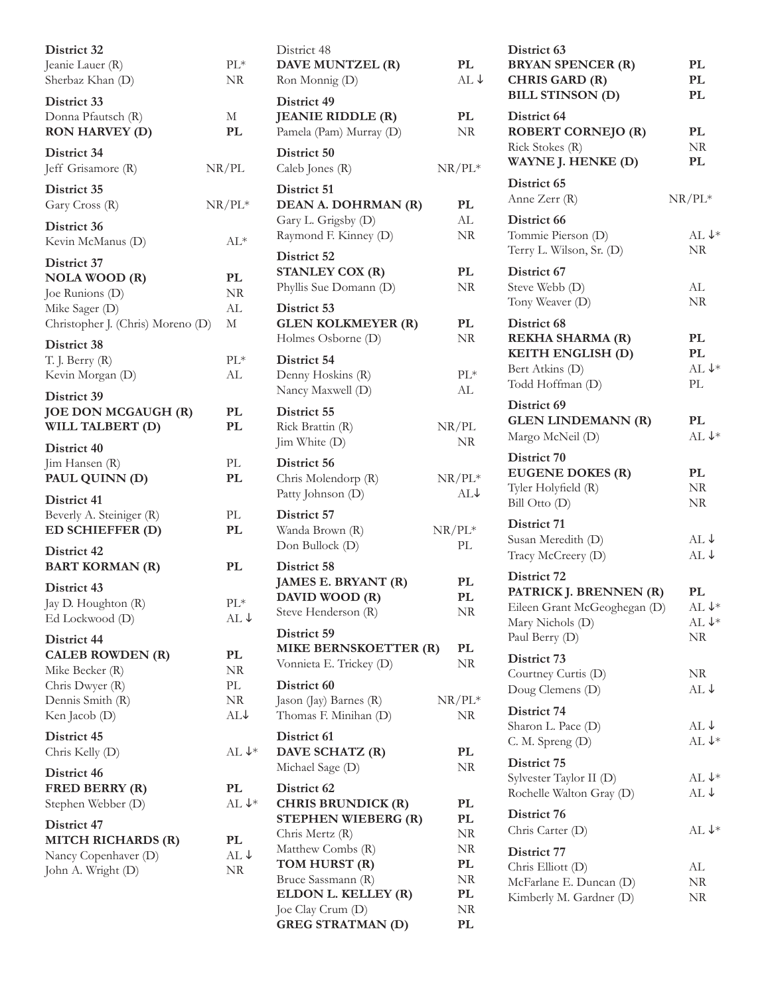| District 32<br>Jeanie Lauer (R)<br>Sherbaz Khan (D)                                                               | $PL*$<br>NR                 |
|-------------------------------------------------------------------------------------------------------------------|-----------------------------|
| District 33<br>Donna Pfautsch (R)<br><b>RON HARVEY (D)</b>                                                        | М<br>PL                     |
| District 34<br>Jeff Grisamore (R)                                                                                 | NR/PL                       |
| District 35<br>Gary Cross (R)                                                                                     | $NR/PL^*$                   |
| District 36<br>Kevin McManus (D)                                                                                  | AL*                         |
| District 37<br><b>NOLA WOOD (R)</b><br>Joe Runions (D)<br>Mike Sager (D)<br>Christopher J. (Chris) Moreno (D)     | PL<br>NR<br>AL<br>М         |
| District 38<br>T. J. Berry (R)<br>Kevin Morgan (D)                                                                | $PL*$<br>AL                 |
| District 39<br>JOE DON MCGAUGH (R)<br>WILL TALBERT (D)                                                            | PL<br>PL                    |
| District 40<br>Jim Hansen (R)<br>PAUL QUINN (D)                                                                   | PL<br>PL                    |
| District 41<br>Beverly A. Steiniger (R)<br>ED SCHIEFFER (D)                                                       | PL<br>PL                    |
| District 42<br><b>BART KORMAN (R)</b>                                                                             | PL                          |
| District 43<br>Jay D. Houghton (R)<br>Ed Lockwood (D)                                                             | $PL*$<br>$AL \downarrow$    |
| District 44<br><b>CALEB ROWDEN (R)</b><br>Mike Becker (R)<br>Chris Dwyer (R)<br>Dennis Smith (R)<br>Ken Jacob (D) | PL<br>NR<br>PL<br>NR<br>AL↓ |
| District 45<br>Chris Kelly (D)                                                                                    | $AL \downarrow^*$           |
| District 46<br><b>FRED BERRY (R)</b><br>Stephen Webber (D)                                                        | PL<br>AL $\downarrow^*$     |
| District 47<br>MITCH RICHARDS (R)<br>Nancy Copenhaver (D)<br>John A. Wright (D)                                   | PL<br>AL ↓<br>NR            |

|                          | District 48<br>DAVE MUNTZEL (R)<br>Ron Monnig (D)                                                                                                                                                 | PL.<br>AL ↓                                  |
|--------------------------|---------------------------------------------------------------------------------------------------------------------------------------------------------------------------------------------------|----------------------------------------------|
|                          | District 49<br><b>JEANIE RIDDLE (R)</b><br>Pamela (Pam) Murray (D)                                                                                                                                | $\mathbf{PL}$<br>NR                          |
|                          | District 50<br>Caleb Jones (R)                                                                                                                                                                    | $NR/PL^*$                                    |
|                          | District 51<br>DEAN A. DOHRMAN (R)<br>Gary L. Grigsby (D)<br>Raymond F. Kinney (D)                                                                                                                | PL<br>AL<br>NR                               |
|                          | District 52<br><b>STANLEY COX (R)</b><br>Phyllis Sue Domann (D)                                                                                                                                   | PL<br>NR                                     |
|                          | District 53<br><b>GLEN KOLKMEYER (R)</b><br>Holmes Osborne (D)                                                                                                                                    | PL<br>NR                                     |
|                          | District 54<br>Denny Hoskins (R)<br>Nancy Maxwell (D)                                                                                                                                             | $PL*$<br>AL                                  |
|                          | District 55<br>Rick Brattin (R)<br>Jim White (D)                                                                                                                                                  | NR/PL<br><b>NR</b>                           |
|                          | District 56<br>Chris Molendorp (R)<br>Patty Johnson (D)                                                                                                                                           | $NR/PL^*$<br>$AL\downarrow$                  |
|                          | District 57<br>Wanda Brown (R)<br>Don Bullock (D)                                                                                                                                                 | $NR/PL^*$<br>PL.                             |
|                          | District 58<br>JAMES E. BRYANT (R)<br>DAVID WOOD (R)<br>Steve Henderson (R)                                                                                                                       | PL<br>PL<br>NR                               |
|                          | District 59<br>MIKE BERNSKOETTER (R)<br>Vonnieta E. Trickey (D)                                                                                                                                   | PL<br>NR                                     |
|                          | District 60<br>Jason (Jay) Barnes (R)<br>Thomas F. Minihan (D)                                                                                                                                    | $NR/PL^*$<br>NR                              |
| $\ddot{\phantom{0}}$     | District 61<br>DAVE SCHATZ (R)<br>Michael Sage (D)                                                                                                                                                | PL<br>NR                                     |
| $\overline{\phantom{a}}$ | District 62<br><b>CHRIS BRUNDICK (R)</b><br><b>STEPHEN WIEBERG (R)</b><br>Chris Mertz (R)<br>Matthew Combs (R)<br>TOM HURST (R)<br>Bruce Sassmann (R)<br>ELDON L. KELLEY (R)<br>Joe Clay Crum (D) | PL<br>PL<br>NR<br>NR<br>PL<br>NR<br>PL<br>NR |
|                          | <b>GREG STRATMAN (D)</b>                                                                                                                                                                          | PL                                           |

| District 63<br><b>BRYAN SPENCER (R)</b><br><b>CHRIS GARD (R)</b><br><b>BILL STINSON (D)</b>                 | PL<br>PL<br>PL                         |
|-------------------------------------------------------------------------------------------------------------|----------------------------------------|
| District 64<br><b>ROBERT CORNEJO (R)</b><br>Rick Stokes (R)<br>WAYNE J. HENKE (D)                           | PL<br>NR<br>PL                         |
| District 65<br>Anne Zerr (R)                                                                                | $NR/PL^*$                              |
| District 66<br>Tommie Pierson (D)<br>Terry L. Wilson, Sr. (D)                                               | $AL \downarrow^*$<br><b>NR</b>         |
| District 67<br>Steve Webb (D)<br>Tony Weaver (D)                                                            | AL<br><b>NR</b>                        |
| District 68<br>REKHA SHARMA (R)<br>KEITH ENGLISH (D)<br>Bert Atkins (D)<br>Todd Hoffman (D)                 | PL<br>PL<br>AL $\downarrow^*$<br>PL    |
| District 69<br><b>GLEN LINDEMANN (R)</b><br>Margo McNeil (D)                                                | PL<br>AL ↓*                            |
| District 70<br><b>EUGENE DOKES (R)</b><br>Tyler Holyfield (R)<br>Bill Otto (D)                              | PL<br>NR<br>NR                         |
| District 71<br>Susan Meredith (D)<br>Tracy McCreery (D)                                                     | $AL \downarrow$<br>AL↓                 |
| District 72<br>PATRICK J. BRENNEN (R)<br>Eileen Grant McGeoghegan (D)<br>Mary Nichols (D)<br>Paul Berry (D) | PL<br>AL $\downarrow^*$<br>AL ↓*<br>NR |
| District 73<br>Courtney Curtis (D)<br>Doug Clemens (D)                                                      | NR<br>AL ↓                             |
| District 74<br>Sharon L. Pace (D)<br>C. M. Spreng (D)                                                       | AL ↓<br>$AL \downarrow^*$              |
| District 75<br>Sylvester Taylor II (D)<br>Rochelle Walton Gray (D)                                          | AL $\downarrow^*$<br>AL ↓              |
| District 76<br>Chris Carter (D)                                                                             | $AL \downarrow^*$                      |
| District 77<br>Chris Elliott (D)<br>McFarlane E. Duncan (D)<br>Kimberly M. Gardner (D)                      | AL<br>NR<br>NR                         |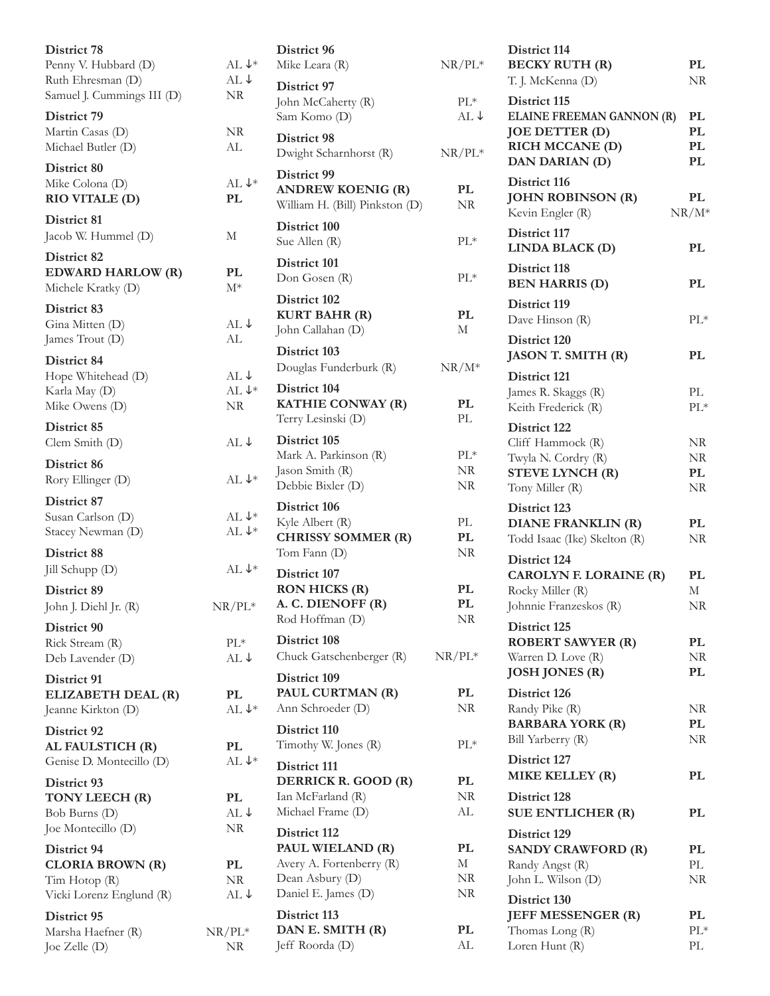| District 78                            |                           |
|----------------------------------------|---------------------------|
| Penny V. Hubbard (D)                   | $AL \downarrow^*$         |
| Ruth Ehresman (D)                      | $AL \downarrow$           |
| Samuel J. Cummings III (D)             | NR.                       |
| District 79                            |                           |
| Martin Casas (D)                       | NR                        |
| Michael Butler (D)                     | AL                        |
| District 80                            |                           |
| Mike Colona (D)                        | $AL \downarrow^*$         |
| RIO VITALE (D)                         | PL                        |
|                                        |                           |
| District 81                            |                           |
| Jacob W. Hummel (D)                    | М                         |
| District 82                            |                           |
| <b>EDWARD HARLOW (R)</b>               | PL                        |
| Michele Kratky (D)                     | $\mathrm{M}^*$            |
| District 83                            |                           |
| Gina Mitten (D)                        | AL↓                       |
| James Trout (D)                        | AL                        |
|                                        |                           |
| District 84                            |                           |
| Hope Whitehead (D)                     | AL ↓<br>AL $\downarrow^*$ |
| Karla May (D)<br>Mike Owens (D)        | NR                        |
|                                        |                           |
| District 85                            |                           |
| Clem Smith (D)                         | $AL \downarrow$           |
| District 86                            |                           |
| Rory Ellinger (D)                      | AL $\downarrow^*$         |
|                                        |                           |
| District 87                            | AL $\downarrow^*$         |
| Susan Carlson (D)<br>Stacey Newman (D) | AL $\downarrow^*$         |
|                                        |                           |
| District 88                            |                           |
| Jill Schupp (D)                        | $AL \downarrow^*$         |
| District 89                            |                           |
| John J. Diehl Jr. (R)                  | $NR/PL^*$                 |
| District 90                            |                           |
| Rick Stream (R)                        | $PL^*$                    |
| Deb Lavender (D)                       | $AL \downarrow$           |
|                                        |                           |
| District 91                            |                           |
| ELIZABETH DEAL (R)                     | PL<br>AL $\downarrow^*$   |
| Jeanne Kirkton (D)                     |                           |
| District 92                            |                           |
| AL FAULSTICH (R)                       | PL                        |
| Genise D. Montecillo (D)               | AL $\downarrow^*$         |
| District 93                            |                           |
| TONY LEECH (R)                         | PL                        |
| Bob Burns (D)                          | AL↓                       |
| Joe Montecillo (D)                     | NR                        |
| District 94                            |                           |
| <b>CLORIA BROWN (R)</b>                | PL                        |
| Tim Hotop (R)                          | NR                        |
| Vicki Lorenz Englund (R)               | $AL \downarrow$           |
|                                        |                           |
| District 95<br>Marsha Haefner (R)      | $NR/PL^*$                 |
| Joe Zelle (D)                          | NR                        |
|                                        |                           |

| k       | District 96<br>Mike Leara (R)                                                                          | $NR/PL^*$                   |
|---------|--------------------------------------------------------------------------------------------------------|-----------------------------|
|         | District 97<br>John McCaherty (R)<br>Sam Komo (D)                                                      | $PL^*$<br>$AL \downarrow$   |
|         | District 98<br>Dwight Scharnhorst (R)                                                                  | $NR/PL^*$                   |
| k       | District 99<br><b>ANDREW KOENIG (R)</b><br>William H. (Bill) Pinkston (D)                              | PL<br>NR.                   |
|         | District 100<br>Sue Allen (R)                                                                          | $PL*$                       |
|         | District 101<br>Don Gosen (R)                                                                          | $PL*$                       |
|         | District 102<br><b>KURT BAHR (R)</b><br>John Callahan (D)                                              | PL<br>М                     |
|         | District 103<br>Douglas Funderburk (R)                                                                 | $NR/M^*$                    |
| k       | District 104<br>KATHIE CONWAY (R)<br>Terry Lesinski (D)                                                | PL<br>PL                    |
| k       | District 105<br>Mark A. Parkinson (R)<br>Jason Smith (R)<br>Debbie Bixler (D)                          | $\text{PL}{}^*$<br>NR<br>NR |
| ķ<br>k  | District 106<br>Kyle Albert (R)<br><b>CHRISSY SOMMER (R)</b><br>Tom Fann (D)                           | PL<br>PL<br>NR              |
| k<br>ŗ. | District 107<br><b>RON HICKS (R)</b><br>A. C. DIENOFF (R)<br>Rod Hoffman (D)                           | PL<br>PL.<br>NR             |
|         | District 108<br>Chuck Gatschenberger (R)                                                               | $NR/PL^*$                   |
| k       | District 109<br>PAUL CURTMAN (R)<br>Ann Schroeder (D)                                                  | PL<br>NR                    |
|         | District 110<br>Timothy W. Jones (R)                                                                   | $PL*$                       |
| k       | District 111<br>DERRICK R. GOOD (R)<br>Ian McFarland (R)<br>Michael Frame (D)                          | PL<br>NR<br>AL              |
|         | District 112<br>PAUL WIELAND (R)<br>Avery A. Fortenberry (R)<br>Dean Asbury (D)<br>Daniel E. James (D) | PL<br>М<br>NR<br>NR         |
|         | District 113<br>DAN E. SMITH (R)<br>Jeff Roorda (D)                                                    | PL<br>AL                    |

| District 114<br><b>BECKY RUTH (R)</b><br>T. J. McKenna (D)                                                     | PL<br>NR.            |
|----------------------------------------------------------------------------------------------------------------|----------------------|
| District 115<br><b>ELAINE FREEMAN GANNON (R)</b><br><b>JOE DETTER (D)</b><br>RICH MCCANE (D)<br>DAN DARIAN (D) | PL<br>PL<br>PL<br>PL |
| District 116<br><b>JOHN ROBINSON (R)</b><br>Kevin Engler (R)                                                   | PL<br>$NR/M^*$       |
| District 117<br>LINDA BLACK (D)                                                                                | PL                   |
| District 118<br><b>BEN HARRIS (D)</b>                                                                          | PL                   |
| District 119<br>Dave Hinson (R)                                                                                | $PL*$                |
| District 120<br><b>JASON T. SMITH (R)</b>                                                                      | PL                   |
| District 121                                                                                                   |                      |
| James R. Skaggs (R)                                                                                            | PL                   |
| Keith Frederick (R)                                                                                            | $PL*$                |
| District 122                                                                                                   |                      |
| Cliff Hammock (R)                                                                                              | NR.                  |
| Twyla N. Cordry (R)<br><b>STEVE LYNCH (R)</b>                                                                  | $\rm NR$<br>PL       |
| Tony Miller (R)                                                                                                | NR                   |
| District 123                                                                                                   |                      |
| <b>DIANE FRANKLIN (R)</b>                                                                                      | PL                   |
| Todd Isaac (Ike) Skelton (R)                                                                                   | <b>NR</b>            |
| District 124                                                                                                   |                      |
| <b>CAROLYN F. LORAINE (R)</b>                                                                                  | PL                   |
| Rocky Miller (R)                                                                                               | М                    |
| Johnnie Franzeskos (R)                                                                                         | NR                   |
| District 125<br><b>ROBERT SAWYER (R)</b>                                                                       | PL                   |
| Warren D. Love (R)                                                                                             | NR                   |
| <b>JOSH JONES (R)</b>                                                                                          | PL                   |
| District 126                                                                                                   |                      |
| Randy Pike (R)                                                                                                 | NR                   |
| <b>BARBARA YORK (R)</b>                                                                                        | PL                   |
| Bill Yarberry (R)                                                                                              | NR                   |
| District 127                                                                                                   |                      |
| MIKE KELLEY (R)                                                                                                | PL                   |
| District 128<br><b>SUE ENTLICHER (R)</b>                                                                       | PL                   |
| District 129                                                                                                   |                      |
| <b>SANDY CRAWFORD (R)</b>                                                                                      | PL                   |
| Randy Angst (R)                                                                                                | PL                   |
| John L. Wilson (D)                                                                                             | NR                   |
| District 130                                                                                                   |                      |
| <b>JEFF MESSENGER (R)</b><br>Thomas Long (R)                                                                   | PL<br>$PL^*$         |
| Loren Hunt (R)                                                                                                 | PL                   |
|                                                                                                                |                      |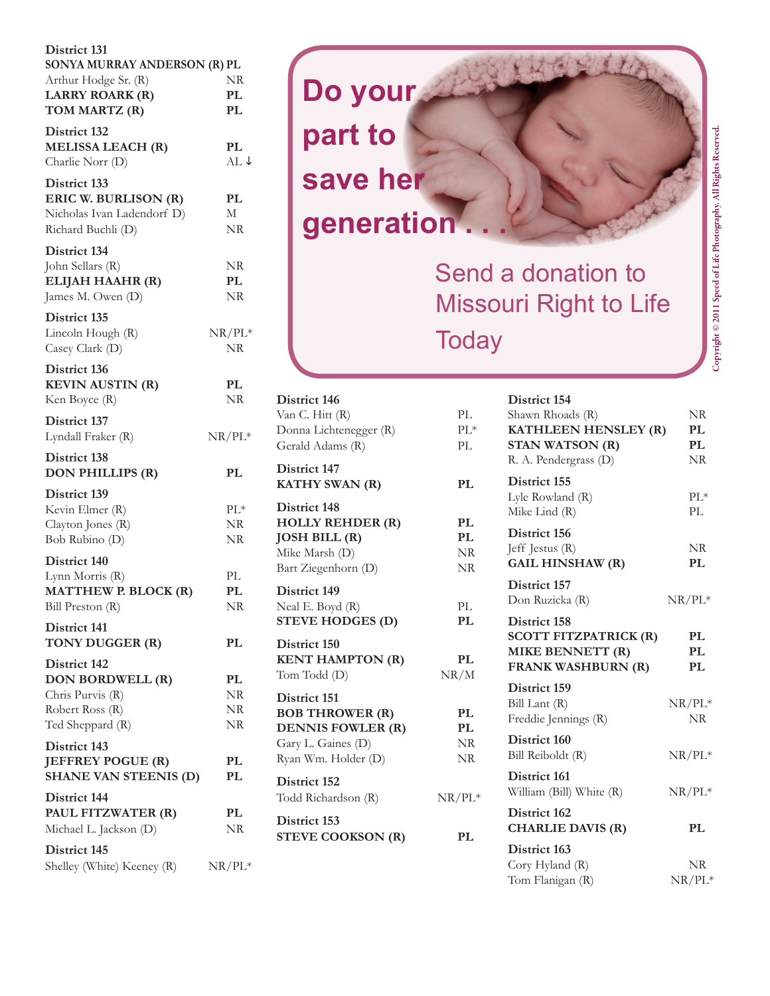| District 131<br>SONYA MURRAY ANDERSON (R) PL<br>Arthur Hodge Sr. (R)<br><b>LARRY ROARK (R)</b><br>TOM MARTZ (R) | NR<br>PL<br>PL         |
|-----------------------------------------------------------------------------------------------------------------|------------------------|
| District 132<br><b>MELISSA LEACH (R)</b><br>Charlie Norr (D)                                                    | PL<br>AL↓              |
| District 133<br>ERIC W. BURLISON (R)<br>Nicholas Ivan Ladendorf D)<br>Richard Buchli (D)                        | PL<br>М<br>NR          |
| District 134<br>John Sellars (R)<br>ELIJAH HAAHR (R)<br>James M. Owen (D)                                       | NR<br>PL<br>NR         |
| District 135<br>Lincoln Hough (R)<br>Casey Clark (D)                                                            | $NR/PL^*$<br><b>NR</b> |
| District 136<br><b>KEVIN AUSTIN (R)</b><br>Ken Boyce (R)                                                        | PL<br><b>NR</b>        |
| District 137<br>Lyndall Fraker (R)                                                                              | $NR/PL^*$              |
| <b>District 138</b><br><b>DON PHILLIPS (R)</b>                                                                  | PL                     |
| District 139<br>Kevin Elmer (R)<br>Clayton Jones (R)<br>Bob Rubino (D)                                          | $PL*$<br>NR<br>NR      |
| District 140<br>Lynn Morris (R)<br><b>MATTHEW P. BLOCK (R)</b><br>Bill Preston (R)                              | PL<br>PL<br>NR         |
| District 141<br>TONY DUGGER (R)                                                                                 | PL                     |
| District 142<br>DON BORDWELL (R)<br>Chris Purvis (R)<br>Robert Ross (R)<br>Ted Sheppard (R)                     | PL<br>NR<br>NR<br>NR   |
| District 143<br><b>JEFFREY POGUE (R)</b><br><b>SHANE VAN STEENIS (D)</b>                                        | PL<br>PL               |
| District 144<br>PAUL FITZWATER (R)<br>Michael L. Jackson (D)                                                    | PL<br>NR               |
| District 145<br>Shelley (White) Keeney (R)                                                                      | $NR/PL^*$              |



# Send a donation to Missouri Right to Life **Today**

| District 146<br>Van C. Hitt (R)<br>Donna Lichtenegger (R)<br>Gerald Adams (R)                                   | PL.<br>$PL*$<br>PI.                |
|-----------------------------------------------------------------------------------------------------------------|------------------------------------|
| District 147<br>KATHY SWAN (R)                                                                                  | PL                                 |
| District 148<br><b>HOLLY REHDER (R)</b><br><b>JOSH BILL (R)</b><br>Mike Marsh (D)<br>Bart Ziegenhorn (D)        | PL<br>PL<br><b>NR</b><br><b>NR</b> |
| District 149<br>Neal E. Boyd (R)<br><b>STEVE HODGES (D)</b>                                                     | PI.<br>PL                          |
| District 150<br><b>KENT HAMPTON (R)</b><br>Tom Todd (D)                                                         | PL<br>NR/M                         |
| District 151<br><b>BOB THROWER (R)</b><br><b>DENNIS FOWLER (R)</b><br>Gary L. Gaines (D)<br>Ryan Wm. Holder (D) | PL<br>PL<br>NR<br>NR               |
| District 152<br>Todd Richardson (R)                                                                             | $NR/PL^*$                          |
| District 153<br><b>STEVE COOKSON (R)</b>                                                                        | PL.                                |
|                                                                                                                 |                                    |

| District 154                          |           |
|---------------------------------------|-----------|
| Shawn Rhoads (R)                      | NR        |
| KATHLEEN HENSLEY (R)                  | PL        |
| <b>STAN WATSON (R)</b>                | PL        |
| R. A. Pendergrass (D)                 | $\rm NR$  |
| District 155                          |           |
| Lyle Rowland (R)                      | $PL*$     |
| Mike Lind (R)                         | PL        |
| District 156                          |           |
| Jeff Jestus (R)                       | NR        |
| <b>GAIL HINSHAW (R)</b>               | PL        |
| District 157                          |           |
| Don Ruzicka (R)                       | $NR/PL^*$ |
| District 158                          |           |
| <b>SCOTT FITZPATRICK (R)</b>          | PL        |
|                                       |           |
| MIKE BENNETT (R)                      | PL        |
| <b>FRANK WASHBURN (R)</b>             | PL        |
| District 159                          |           |
|                                       | $NR/PL^*$ |
| Bill Lant (R)<br>Freddie Jennings (R) | NR.       |
| District 160                          |           |
| Bill Reiboldt (R)                     | $NR/PL^*$ |
| District 161                          |           |
| William (Bill) White (R)              | $NR/PL^*$ |
| District 162                          |           |
| <b>CHARLIE DAVIS (R)</b>              | PL        |
| District 163                          |           |
| Cory Hyland (R)                       | NR.       |